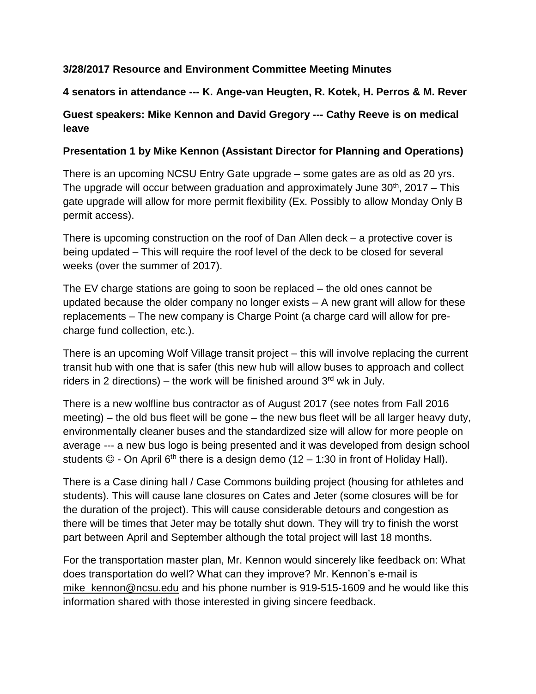# **3/28/2017 Resource and Environment Committee Meeting Minutes**

# **4 senators in attendance --- K. Ange-van Heugten, R. Kotek, H. Perros & M. Rever**

# **Guest speakers: Mike Kennon and David Gregory --- Cathy Reeve is on medical leave**

#### **Presentation 1 by Mike Kennon (Assistant Director for Planning and Operations)**

There is an upcoming NCSU Entry Gate upgrade – some gates are as old as 20 yrs. The upgrade will occur between graduation and approximately June 30<sup>th</sup>, 2017 – This gate upgrade will allow for more permit flexibility (Ex. Possibly to allow Monday Only B permit access).

There is upcoming construction on the roof of Dan Allen deck – a protective cover is being updated – This will require the roof level of the deck to be closed for several weeks (over the summer of 2017).

The EV charge stations are going to soon be replaced – the old ones cannot be updated because the older company no longer exists – A new grant will allow for these replacements – The new company is Charge Point (a charge card will allow for precharge fund collection, etc.).

There is an upcoming Wolf Village transit project – this will involve replacing the current transit hub with one that is safer (this new hub will allow buses to approach and collect riders in 2 directions) – the work will be finished around  $3<sup>rd</sup>$  wk in July.

There is a new wolfline bus contractor as of August 2017 (see notes from Fall 2016 meeting) – the old bus fleet will be gone – the new bus fleet will be all larger heavy duty, environmentally cleaner buses and the standardized size will allow for more people on average --- a new bus logo is being presented and it was developed from design school students  $\odot$  - On April 6<sup>th</sup> there is a design demo (12 – 1:30 in front of Holiday Hall).

There is a Case dining hall / Case Commons building project (housing for athletes and students). This will cause lane closures on Cates and Jeter (some closures will be for the duration of the project). This will cause considerable detours and congestion as there will be times that Jeter may be totally shut down. They will try to finish the worst part between April and September although the total project will last 18 months.

For the transportation master plan, Mr. Kennon would sincerely like feedback on: What does transportation do well? What can they improve? Mr. Kennon's e-mail is [mike\\_kennon@ncsu.edu](mailto:mike_kennon@ncsu.edu) and his phone number is 919-515-1609 and he would like this information shared with those interested in giving sincere feedback.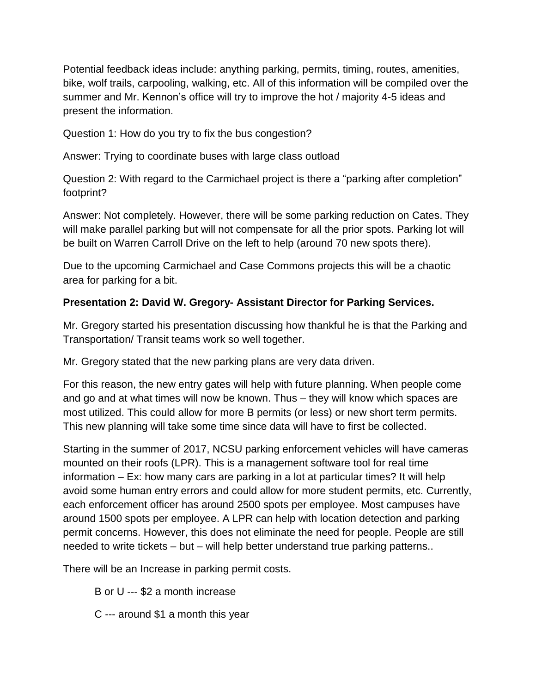Potential feedback ideas include: anything parking, permits, timing, routes, amenities, bike, wolf trails, carpooling, walking, etc. All of this information will be compiled over the summer and Mr. Kennon's office will try to improve the hot / majority 4-5 ideas and present the information.

Question 1: How do you try to fix the bus congestion?

Answer: Trying to coordinate buses with large class outload

Question 2: With regard to the Carmichael project is there a "parking after completion" footprint?

Answer: Not completely. However, there will be some parking reduction on Cates. They will make parallel parking but will not compensate for all the prior spots. Parking lot will be built on Warren Carroll Drive on the left to help (around 70 new spots there).

Due to the upcoming Carmichael and Case Commons projects this will be a chaotic area for parking for a bit.

# **Presentation 2: David W. Gregory- Assistant Director for Parking Services.**

Mr. Gregory started his presentation discussing how thankful he is that the Parking and Transportation/ Transit teams work so well together.

Mr. Gregory stated that the new parking plans are very data driven.

For this reason, the new entry gates will help with future planning. When people come and go and at what times will now be known. Thus – they will know which spaces are most utilized. This could allow for more B permits (or less) or new short term permits. This new planning will take some time since data will have to first be collected.

Starting in the summer of 2017, NCSU parking enforcement vehicles will have cameras mounted on their roofs (LPR). This is a management software tool for real time information – Ex: how many cars are parking in a lot at particular times? It will help avoid some human entry errors and could allow for more student permits, etc. Currently, each enforcement officer has around 2500 spots per employee. Most campuses have around 1500 spots per employee. A LPR can help with location detection and parking permit concerns. However, this does not eliminate the need for people. People are still needed to write tickets – but – will help better understand true parking patterns..

There will be an Increase in parking permit costs.

B or U --- \$2 a month increase

C --- around \$1 a month this year